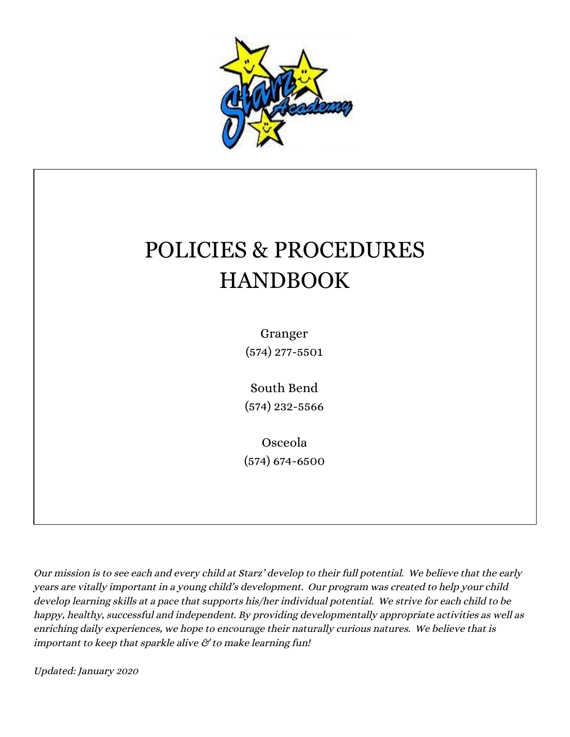

# POLICIES & PROCEDURES HANDBOOK

Granger (574) 277-5501

South Bend (574) 232-5566

Osceola (574) 674-6500

Our mission is to see each and every child at Starz' develop to their full potential. We believe that the early years are vitally important in <sup>a</sup> young child's development. Our program was created to help your child develop learning skills at <sup>a</sup> pace that supports his/her individual potential. We strive for each child to be happy, healthy, successful and independent. By providing developmentally appropriate activities as well as enriching daily experiences, we hope to encourage their naturally curious natures. We believe that is important to keep that sparkle alive  $\mathcal C$  to make learning fun!

Updated: January <sup>2020</sup>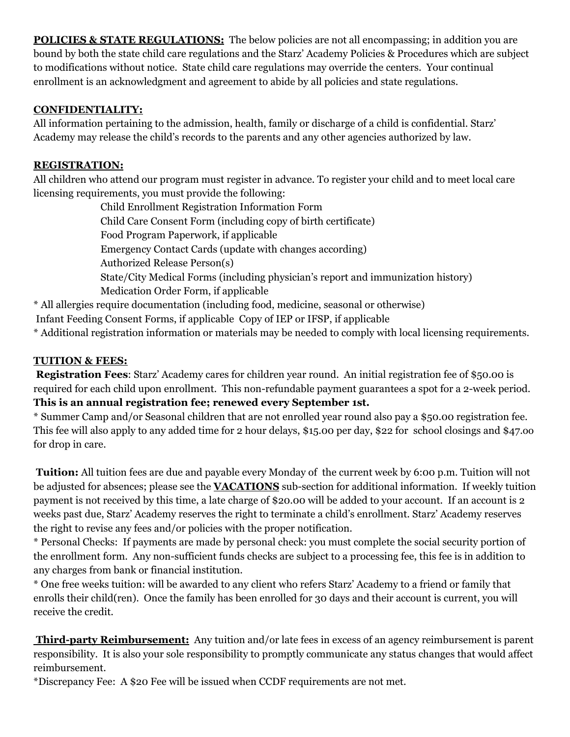**POLICIES & STATE REGULATIONS:** The below policies are not all encompassing; in addition you are bound by both the state child care regulations and the Starz' Academy Policies & Procedures which are subject to modifications without notice. State child care regulations may override the centers. Your continual enrollment is an acknowledgment and agreement to abide by all policies and state regulations.

## **CONFIDENTIALITY:**

All information pertaining to the admission, health, family or discharge of a child is confidential. Starz' Academy may release the child's records to the parents and any other agencies authorized by law.

## **REGISTRATION:**

All children who attend our program must register in advance. To register your child and to meet local care licensing requirements, you must provide the following:

> Child Enrollment Registration Information Form Child Care Consent Form (including copy of birth certificate) Food Program Paperwork, if applicable Emergency Contact Cards (update with changes according) Authorized Release Person(s) State/City Medical Forms (including physician's report and immunization history) Medication Order Form, if applicable

\* All allergies require documentation (including food, medicine, seasonal or otherwise)

Infant Feeding Consent Forms, if applicable Copy of IEP or IFSP, if applicable

\* Additional registration information or materials may be needed to comply with local licensing requirements.

## **TUITION & FEES:**

**Registration Fees**: Starz' Academy cares for children year round. An initial registration fee of \$50.00 is required for each child upon enrollment. This non-refundable payment guarantees a spot for a 2-week period. **This is an annual registration fee; renewed every September 1st.**

\* Summer Camp and/or Seasonal children that are not enrolled year round also pay a \$50.00 registration fee. This fee will also apply to any added time for 2 hour delays, \$15.00 per day, \$22 for school closings and \$47.oo for drop in care.

**Tuition:** All tuition fees are due and payable every Monday of the current week by 6:00 p.m. Tuition will not be adjusted for absences; please see the **VACATIONS** sub-section for additional information. If weekly tuition payment is not received by this time, a late charge of \$20.00 will be added to your account. If an account is 2 weeks past due, Starz' Academy reserves the right to terminate a child's enrollment. Starz' Academy reserves the right to revise any fees and/or policies with the proper notification.

\* Personal Checks: If payments are made by personal check: you must complete the social security portion of the enrollment form. Any non-sufficient funds checks are subject to a processing fee, this fee is in addition to any charges from bank or financial institution.

\* One free weeks tuition: will be awarded to any client who refers Starz' Academy to a friend or family that enrolls their child(ren). Once the family has been enrolled for 30 days and their account is current, you will receive the credit.

**Third-party Reimbursement:** Any tuition and/or late fees in excess of an agency reimbursement is parent responsibility. It is also your sole responsibility to promptly communicate any status changes that would affect reimbursement.

\*Discrepancy Fee: A \$20 Fee will be issued when CCDF requirements are not met.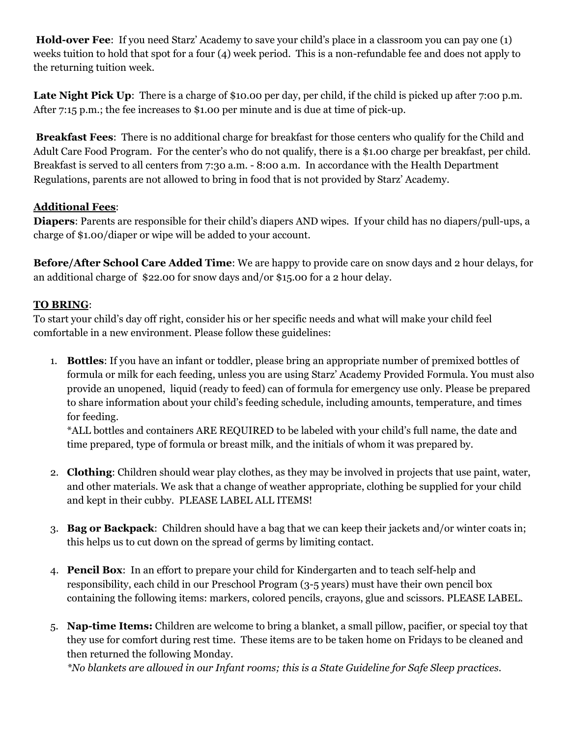**Hold-over Fee**: If you need Starz' Academy to save your child's place in a classroom you can pay one (1) weeks tuition to hold that spot for a four (4) week period. This is a non-refundable fee and does not apply to the returning tuition week.

**Late Night Pick Up**: There is a charge of \$10.00 per day, per child, if the child is picked up after 7:00 p.m. After 7:15 p.m.; the fee increases to \$1.00 per minute and is due at time of pick-up.

**Breakfast Fees**: There is no additional charge for breakfast for those centers who qualify for the Child and Adult Care Food Program. For the center's who do not qualify, there is a \$1.00 charge per breakfast, per child. Breakfast is served to all centers from 7:30 a.m. - 8:00 a.m. In accordance with the Health Department Regulations, parents are not allowed to bring in food that is not provided by Starz' Academy.

## **Additional Fees**:

**Diapers**: Parents are responsible for their child's diapers AND wipes. If your child has no diapers/pull-ups, a charge of \$1.00/diaper or wipe will be added to your account.

**Before/After School Care Added Time**: We are happy to provide care on snow days and 2 hour delays, for an additional charge of \$22.00 for snow days and/or \$15.00 for a 2 hour delay.

## **TO BRING**:

To start your child's day off right, consider his or her specific needs and what will make your child feel comfortable in a new environment. Please follow these guidelines:

1. **Bottles**: If you have an infant or toddler, please bring an appropriate number of premixed bottles of formula or milk for each feeding, unless you are using Starz' Academy Provided Formula. You must also provide an unopened, liquid (ready to feed) can of formula for emergency use only. Please be prepared to share information about your child's feeding schedule, including amounts, temperature, and times for feeding.

\*ALL bottles and containers ARE REQUIRED to be labeled with your child's full name, the date and time prepared, type of formula or breast milk, and the initials of whom it was prepared by.

- 2. **Clothing**: Children should wear play clothes, as they may be involved in projects that use paint, water, and other materials. We ask that a change of weather appropriate, clothing be supplied for your child and kept in their cubby. PLEASE LABEL ALL ITEMS!
- 3. **Bag or Backpack**: Children should have a bag that we can keep their jackets and/or winter coats in; this helps us to cut down on the spread of germs by limiting contact.
- 4. **Pencil Box**: In an effort to prepare your child for Kindergarten and to teach self-help and responsibility, each child in our Preschool Program (3-5 years) must have their own pencil box containing the following items: markers, colored pencils, crayons, glue and scissors. PLEASE LABEL.
- 5. **Nap-time Items:** Children are welcome to bring a blanket, a small pillow, pacifier, or special toy that they use for comfort during rest time. These items are to be taken home on Fridays to be cleaned and then returned the following Monday.

*\*No blankets are allowed in our Infant rooms; this is a State Guideline for Safe Sleep practices.*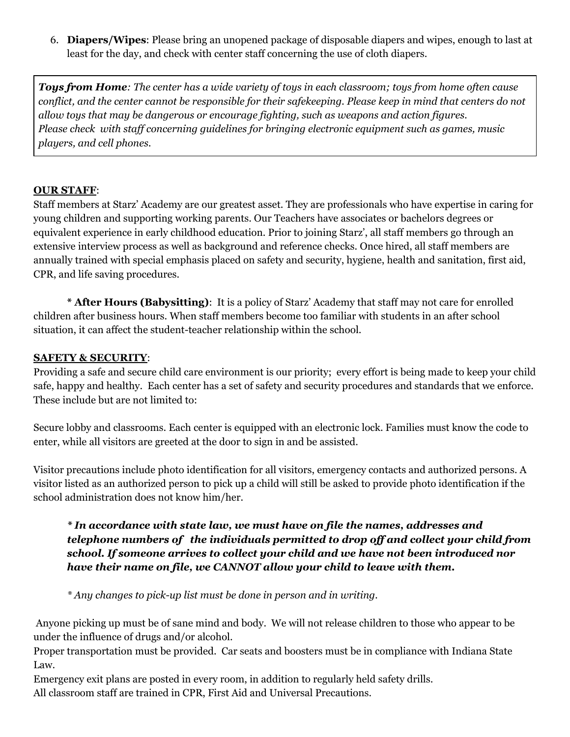6. **Diapers/Wipes**: Please bring an unopened package of disposable diapers and wipes, enough to last at least for the day, and check with center staff concerning the use of cloth diapers.

Toys from Home: The center has a wide variety of toys in each classroom; toys from home often cause conflict, and the center cannot be responsible for their safekeeping. Please keep in mind that centers do not *allow toys that may be dangerous or encourage fighting, such as weapons and action figures. Please check with staf concerning guidelines for bringing electronic equipment such as games, music players, and cell phones.*

#### **OUR STAFF**:

Staff members at Starz' Academy are our greatest asset. They are professionals who have expertise in caring for young children and supporting working parents. Our Teachers have associates or bachelors degrees or equivalent experience in early childhood education. Prior to joining Starz', all staff members go through an extensive interview process as well as background and reference checks. Once hired, all staff members are annually trained with special emphasis placed on safety and security, hygiene, health and sanitation, first aid, CPR, and life saving procedures.

**\* After Hours (Babysitting)**: It is a policy of Starz' Academy that staff may not care for enrolled children after business hours. When staff members become too familiar with students in an after school situation, it can affect the student-teacher relationship within the school.

#### **SAFETY & SECURITY**:

Providing a safe and secure child care environment is our priority; every effort is being made to keep your child safe, happy and healthy. Each center has a set of safety and security procedures and standards that we enforce. These include but are not limited to:

Secure lobby and classrooms. Each center is equipped with an electronic lock. Families must know the code to enter, while all visitors are greeted at the door to sign in and be assisted.

Visitor precautions include photo identification for all visitors, emergency contacts and authorized persons. A visitor listed as an authorized person to pick up a child will still be asked to provide photo identification if the school administration does not know him/her.

#### *\* In accordance with state law, we must have on file the names, addresses and telephone numbers of the individuals permitted to drop of and collect your child from school. If someone arrives to collect your child and we have not been introduced nor have their name on file, we CANNOT allow your child to leave with them.*

*\* Any changes to pick-up list must be done in person and in writing.*

Anyone picking up must be of sane mind and body. We will not release children to those who appear to be under the influence of drugs and/or alcohol.

Proper transportation must be provided. Car seats and boosters must be in compliance with Indiana State Law.

Emergency exit plans are posted in every room, in addition to regularly held safety drills. All classroom staff are trained in CPR, First Aid and Universal Precautions.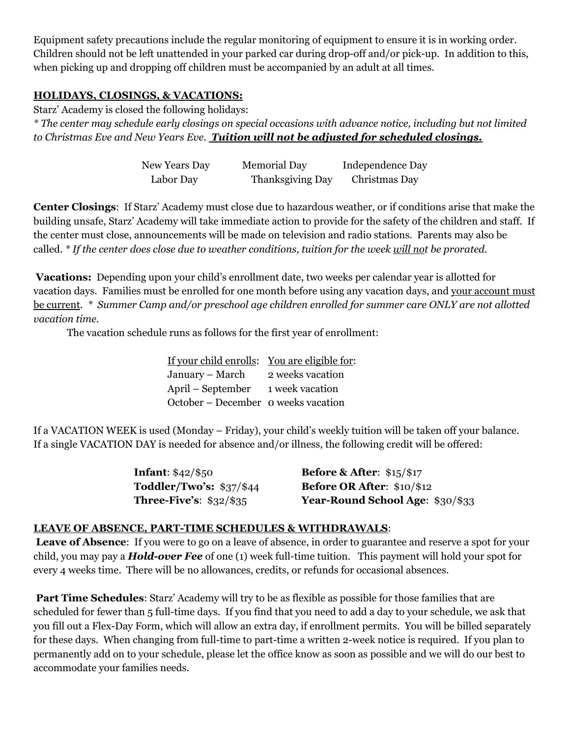Equipment safety precautions include the regular monitoring of equipment to ensure it is in working order. Children should not be left unattended in your parked car during drop-off and/or pick-up. In addition to this, when picking up and dropping off children must be accompanied by an adult at all times.

#### **HOLIDAYS, CLOSINGS, & VACATIONS:**

Starz' Academy is closed the following holidays:

\* The center may schedule early closings on special occasions with advance notice, including but not limited *to Christmas Eve and New Years Eve. Tuition will not be adjusted for scheduled closings.*

| New Years Day | <b>Memorial Day</b> | Independence Day |
|---------------|---------------------|------------------|
| Labor Day     | Thanksgiving Day    | Christmas Day    |

**Center Closings**: If Starz' Academy must close due to hazardous weather, or if conditions arise that make the building unsafe, Starz' Academy will take immediate action to provide for the safety of the children and staff. If the center must close, announcements will be made on television and radio stations. Parents may also be called. \* If the center does close due to weather conditions, tuition for the week will not be prorated.

**Vacations:** Depending upon your child's enrollment date, two weeks per calendar year is allotted for vacation days. Families must be enrolled for one month before using any vacation days, and your account must be current. *\* Summer Camp and/or preschool age children enrolled for summer care ONLY are not allotted vacation time.*

The vacation schedule runs as follows for the first year of enrollment:

| If your child enrolls: You are eligible for: |
|----------------------------------------------|
| 2 weeks vacation                             |
| 1 week vacation                              |
| October – December o weeks vacation          |
|                                              |

If a VACATION WEEK is used (Monday – Friday), your child's weekly tuition will be taken off your balance. If a single VACATION DAY is needed for absence and/or illness, the following credit will be offered:

| <b>Infant</b> : $$42/\$50$     | <b>Before &amp; After:</b> $$15/$17$ |
|--------------------------------|--------------------------------------|
| Toddler/Two's: $$37/$44$       | Before OR After: $$10/\$12$          |
| <b>Three-Five's: \$32/\$35</b> | Year-Round School Age: \$30/\$33     |

#### **LEAVE OF ABSENCE, PART-TIME SCHEDULES & WITHDRAWALS**:

**Leave of Absence**: If you were to go on a leave of absence, in order to guarantee and reserve a spot for your child, you may pay a *Hold-over Fee* of one (1) week full-time tuition. This payment will hold your spot for every 4 weeks time. There will be no allowances, credits, or refunds for occasional absences.

**Part Time Schedules**: Starz' Academy will try to be as flexible as possible for those families that are scheduled for fewer than 5 full-time days. If you find that you need to add a day to your schedule, we ask that you fill out a Flex-Day Form, which will allow an extra day, if enrollment permits. You will be billed separately for these days. When changing from full-time to part-time a written 2-week notice is required. If you plan to permanently add on to your schedule, please let the office know as soon as possible and we will do our best to accommodate your families needs.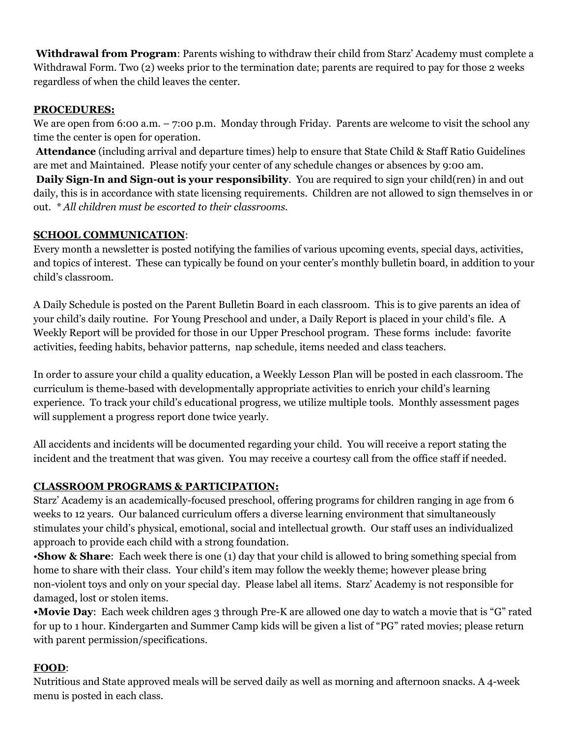**Withdrawal from Program**: Parents wishing to withdraw their child from Starz' Academy must complete a Withdrawal Form. Two (2) weeks prior to the termination date; parents are required to pay for those 2 weeks regardless of when the child leaves the center.

## **PROCEDURES:**

We are open from 6:00 a.m. – 7:00 p.m. Monday through Friday. Parents are welcome to visit the school any time the center is open for operation.

**Attendance** (including arrival and departure times) help to ensure that State Child & Staff Ratio Guidelines are met and Maintained. Please notify your center of any schedule changes or absences by 9:00 am.

**Daily Sign-In and Sign-out is your responsibility**. You are required to sign your child(ren) in and out daily, this is in accordance with state licensing requirements. Children are not allowed to sign themselves in or out. *\* All children must be escorted to their classrooms.*

## **SCHOOL COMMUNICATION**:

Every month a newsletter is posted notifying the families of various upcoming events, special days, activities, and topics of interest. These can typically be found on your center's monthly bulletin board, in addition to your child's classroom.

A Daily Schedule is posted on the Parent Bulletin Board in each classroom. This is to give parents an idea of your child's daily routine. For Young Preschool and under, a Daily Report is placed in your child's file. A Weekly Report will be provided for those in our Upper Preschool program. These forms include: favorite activities, feeding habits, behavior patterns, nap schedule, items needed and class teachers.

In order to assure your child a quality education, a Weekly Lesson Plan will be posted in each classroom. The curriculum is theme-based with developmentally appropriate activities to enrich your child's learning experience. To track your child's educational progress, we utilize multiple tools. Monthly assessment pages will supplement a progress report done twice yearly.

All accidents and incidents will be documented regarding your child. You will receive a report stating the incident and the treatment that was given. You may receive a courtesy call from the office staff if needed.

# **CLASSROOM PROGRAMS & PARTICIPATION:**

Starz' Academy is an academically-focused preschool, offering programs for children ranging in age from 6 weeks to 12 years. Our balanced curriculum offers a diverse learning environment that simultaneously stimulates your child's physical, emotional, social and intellectual growth. Our staff uses an individualized approach to provide each child with a strong foundation.

•**Show & Share**: Each week there is one (1) day that your child is allowed to bring something special from home to share with their class. Your child's item may follow the weekly theme; however please bring non-violent toys and only on your special day. Please label all items. Starz' Academy is not responsible for damaged, lost or stolen items.

**•Movie Day**: Each week children ages 3 through Pre-K are allowed one day to watch a movie that is "G" rated for up to 1 hour. Kindergarten and Summer Camp kids will be given a list of "PG" rated movies; please return with parent permission/specifications.

# **FOOD**:

Nutritious and State approved meals will be served daily as well as morning and afternoon snacks. A 4-week menu is posted in each class.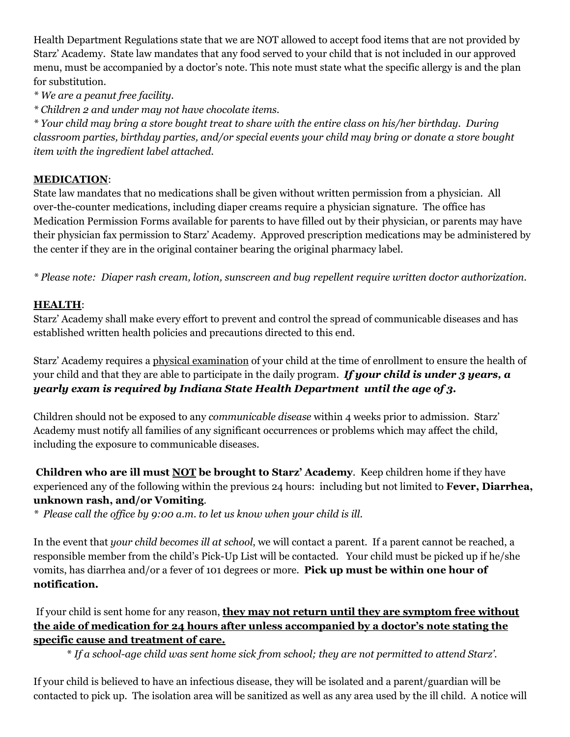Health Department Regulations state that we are NOT allowed to accept food items that are not provided by Starz' Academy. State law mandates that any food served to your child that is not included in our approved menu, must be accompanied by a doctor's note. This note must state what the specific allergy is and the plan for substitution.

*\* We are a peanut free facility.*

*\* Children 2 and under may not have chocolate items.*

\* Your child may bring a store bought treat to share with the entire class on his/her birthday. During *classroom parties, birthday parties, and/or special events your child may bring or donate a store bought item with the ingredient label attached.*

#### **MEDICATION**:

State law mandates that no medications shall be given without written permission from a physician. All over-the-counter medications, including diaper creams require a physician signature. The office has Medication Permission Forms available for parents to have filled out by their physician, or parents may have their physician fax permission to Starz' Academy. Approved prescription medications may be administered by the center if they are in the original container bearing the original pharmacy label.

*\* Please note: Diaper rash cream, lotion, sunscreen and bug repellent require written doctor authorization.*

#### **HEALTH**:

Starz' Academy shall make every effort to prevent and control the spread of communicable diseases and has established written health policies and precautions directed to this end.

Starz' Academy requires a physical examination of your child at the time of enrollment to ensure the health of your child and that they are able to participate in the daily program. *If your child is under 3 years, a yearly exam is required by Indiana State Health Department until the age of 3.*

Children should not be exposed to any *communicable disease* within 4 weeks prior to admission. Starz' Academy must notify all families of any significant occurrences or problems which may affect the child, including the exposure to communicable diseases.

**Children who are ill must NOT be brought to Starz' Academy**. Keep children home if they have experienced any of the following within the previous 24 hours: including but not limited to **Fever, Diarrhea, unknown rash, and/or Vomiting**.

*\* Please call the of ice by 9:00 a.m. to let us know when your child is ill.*

In the event that *your child becomes ill at school*, we will contact a parent. If a parent cannot be reached, a responsible member from the child's Pick-Up List will be contacted. Your child must be picked up if he/she vomits, has diarrhea and/or a fever of 101 degrees or more. **Pick up must be within one hour of notification.**

If your child is sent home for any reason, **they may not return until they are symptom free without the aide of medication for 24 hours after unless accompanied by a doctor's note stating the specific cause and treatment of care.**

\* *If a school-age child was sent home sick from school; they are not permitted to attend Starz'.*

If your child is believed to have an infectious disease, they will be isolated and a parent/guardian will be contacted to pick up. The isolation area will be sanitized as well as any area used by the ill child. A notice will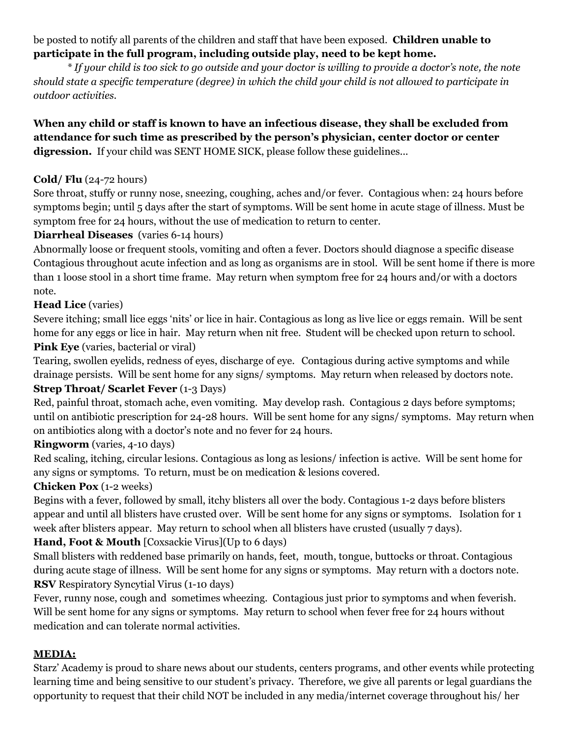#### be posted to notify all parents of the children and staff that have been exposed. **Children unable to participate in the full program, including outside play, need to be kept home.**

\* If your child is too sick to go outside and your doctor is willing to provide a doctor's note, the note should state a specific temperature (degree) in which the child your child is not allowed to participate in *outdoor activities.*

## **When any child or staff is known to have an infectious disease, they shall be excluded from attendance for such time as prescribed by the person's physician, center doctor or center** digression. If your child was SENT HOME SICK, please follow these guidelines...

## **Cold/ Flu** (24-72 hours)

Sore throat, stuffy or runny nose, sneezing, coughing, aches and/or fever. Contagious when: 24 hours before symptoms begin; until 5 days after the start of symptoms. Will be sent home in acute stage of illness. Must be symptom free for 24 hours, without the use of medication to return to center.

## **Diarrheal Diseases** (varies 6-14 hours)

Abnormally loose or frequent stools, vomiting and often a fever. Doctors should diagnose a specific disease Contagious throughout acute infection and as long as organisms are in stool. Will be sent home if there is more than 1 loose stool in a short time frame. May return when symptom free for 24 hours and/or with a doctors note.

## **Head Lice** (varies)

Severe itching; small lice eggs 'nits' or lice in hair. Contagious as long as live lice or eggs remain. Will be sent home for any eggs or lice in hair. May return when nit free. Student will be checked upon return to school. **Pink Eye** (varies, bacterial or viral)

Tearing, swollen eyelids, redness of eyes, discharge of eye. Contagious during active symptoms and while drainage persists. Will be sent home for any signs/ symptoms. May return when released by doctors note.

## **Strep Throat/ Scarlet Fever** (1-3 Days)

Red, painful throat, stomach ache, even vomiting. May develop rash. Contagious 2 days before symptoms; until on antibiotic prescription for 24-28 hours. Will be sent home for any signs/ symptoms. May return when on antibiotics along with a doctor's note and no fever for 24 hours.

## **Ringworm** (varies, 4-10 days)

Red scaling, itching, circular lesions. Contagious as long as lesions/ infection is active. Will be sent home for any signs or symptoms. To return, must be on medication & lesions covered.

## **Chicken Pox** (1-2 weeks)

Begins with a fever, followed by small, itchy blisters all over the body. Contagious 1-2 days before blisters appear and until all blisters have crusted over. Will be sent home for any signs or symptoms. Isolation for 1 week after blisters appear. May return to school when all blisters have crusted (usually 7 days).

## **Hand, Foot & Mouth** [Coxsackie Virus](Up to 6 days)

Small blisters with reddened base primarily on hands, feet, mouth, tongue, buttocks or throat. Contagious during acute stage of illness. Will be sent home for any signs or symptoms. May return with a doctors note. **RSV** Respiratory Syncytial Virus (1-10 days)

Fever, runny nose, cough and sometimes wheezing. Contagious just prior to symptoms and when feverish. Will be sent home for any signs or symptoms. May return to school when fever free for 24 hours without medication and can tolerate normal activities.

## **MEDIA:**

Starz' Academy is proud to share news about our students, centers programs, and other events while protecting learning time and being sensitive to our student's privacy. Therefore, we give all parents or legal guardians the opportunity to request that their child NOT be included in any media/internet coverage throughout his/ her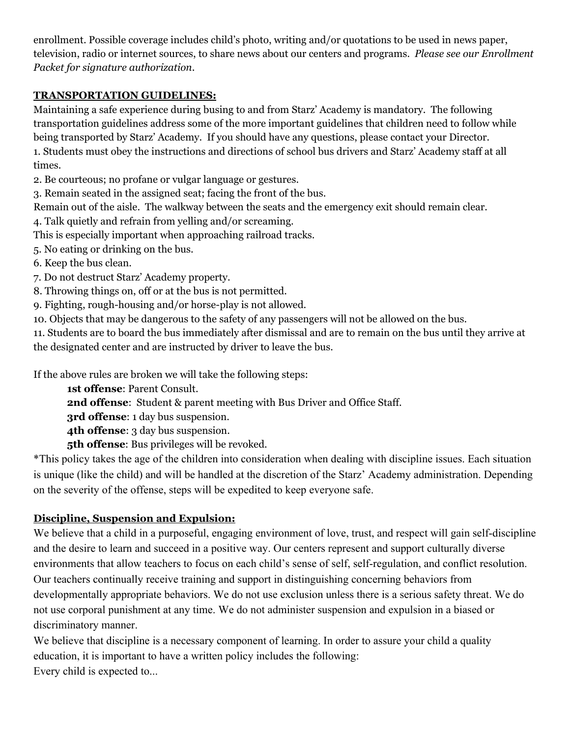enrollment. Possible coverage includes child's photo, writing and/or quotations to be used in news paper, television, radio or internet sources, to share news about our centers and programs. *Please see our Enrollment Packet for signature authorization*.

## **TRANSPORTATION GUIDELINES:**

Maintaining a safe experience during busing to and from Starz' Academy is mandatory. The following transportation guidelines address some of the more important guidelines that children need to follow while being transported by Starz' Academy. If you should have any questions, please contact your Director. 1. Students must obey the instructions and directions of school bus drivers and Starz' Academy staff at all times.

2. Be courteous; no profane or vulgar language or gestures.

3. Remain seated in the assigned seat; facing the front of the bus.

Remain out of the aisle. The walkway between the seats and the emergency exit should remain clear.

4. Talk quietly and refrain from yelling and/or screaming.

This is especially important when approaching railroad tracks.

5. No eating or drinking on the bus.

6. Keep the bus clean.

7. Do not destruct Starz' Academy property.

8. Throwing things on, off or at the bus is not permitted.

9. Fighting, rough-housing and/or horse-play is not allowed.

10. Objects that may be dangerous to the safety of any passengers will not be allowed on the bus.

11. Students are to board the bus immediately after dismissal and are to remain on the bus until they arrive at the designated center and are instructed by driver to leave the bus.

If the above rules are broken we will take the following steps:

**1st offense**: Parent Consult.

**2nd offense**: Student & parent meeting with Bus Driver and Office Staff.

**3rd offense**: 1 day bus suspension.

**4th offense**: 3 day bus suspension.

**5th offense**: Bus privileges will be revoked.

\*This policy takes the age of the children into consideration when dealing with discipline issues. Each situation is unique (like the child) and will be handled at the discretion of the Starz' Academy administration. Depending on the severity of the offense, steps will be expedited to keep everyone safe.

# **Discipline, Suspension and Expulsion:**

We believe that a child in a purposeful, engaging environment of love, trust, and respect will gain self-discipline and the desire to learn and succeed in a positive way. Our centers represent and support culturally diverse environments that allow teachers to focus on each child's sense of self, self-regulation, and conflict resolution. Our teachers continually receive training and support in distinguishing concerning behaviors from developmentally appropriate behaviors. We do not use exclusion unless there is a serious safety threat. We do not use corporal punishment at any time. We do not administer suspension and expulsion in a biased or discriminatory manner.

We believe that discipline is a necessary component of learning. In order to assure your child a quality education, it is important to have a written policy includes the following: Every child is expected to...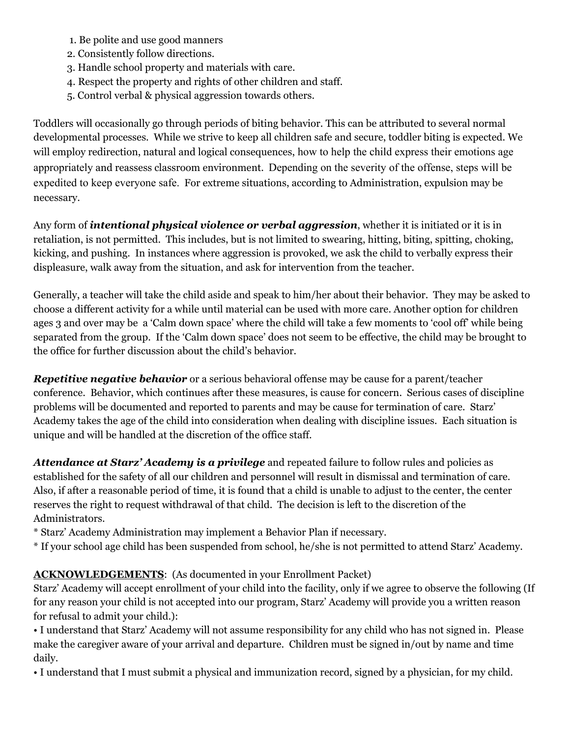- 1. Be polite and use good manners
- 2. Consistently follow directions.
- 3. Handle school property and materials with care.
- 4. Respect the property and rights of other children and staff.
- 5. Control verbal & physical aggression towards others.

Toddlers will occasionally go through periods of biting behavior. This can be attributed to several normal developmental processes. While we strive to keep all children safe and secure, toddler biting is expected. We will employ redirection, natural and logical consequences, how to help the child express their emotions age appropriately and reassess classroom environment. Depending on the severity of the offense, steps will be expedited to keep everyone safe. For extreme situations, according to Administration, expulsion may be necessary.

Any form of *intentional physical violence or verbal aggression*, whether it is initiated or it is in retaliation, is not permitted. This includes, but is not limited to swearing, hitting, biting, spitting, choking, kicking, and pushing. In instances where aggression is provoked, we ask the child to verbally express their displeasure, walk away from the situation, and ask for intervention from the teacher.

Generally, a teacher will take the child aside and speak to him/her about their behavior. They may be asked to choose a different activity for a while until material can be used with more care. Another option for children ages 3 and over may be a 'Calm down space' where the child will take a few moments to 'cool off' while being separated from the group. If the 'Calm down space' does not seem to be effective, the child may be brought to the office for further discussion about the child's behavior.

*Repetitive negative behavior* or a serious behavioral offense may be cause for a parent/teacher conference. Behavior, which continues after these measures, is cause for concern. Serious cases of discipline problems will be documented and reported to parents and may be cause for termination of care. Starz' Academy takes the age of the child into consideration when dealing with discipline issues. Each situation is unique and will be handled at the discretion of the office staff.

*Attendance at Starz' Academy is a privilege* and repeated failure to follow rules and policies as established for the safety of all our children and personnel will result in dismissal and termination of care. Also, if after a reasonable period of time, it is found that a child is unable to adjust to the center, the center reserves the right to request withdrawal of that child. The decision is left to the discretion of the Administrators.

- \* Starz' Academy Administration may implement a Behavior Plan if necessary.
- \* If your school age child has been suspended from school, he/she is not permitted to attend Starz' Academy.

## **ACKNOWLEDGEMENTS**: (As documented in your Enrollment Packet)

Starz' Academy will accept enrollment of your child into the facility, only if we agree to observe the following (If for any reason your child is not accepted into our program, Starz' Academy will provide you a written reason for refusal to admit your child.):

• I understand that Starz' Academy will not assume responsibility for any child who has not signed in. Please make the caregiver aware of your arrival and departure. Children must be signed in/out by name and time daily.

• I understand that I must submit a physical and immunization record, signed by a physician, for my child.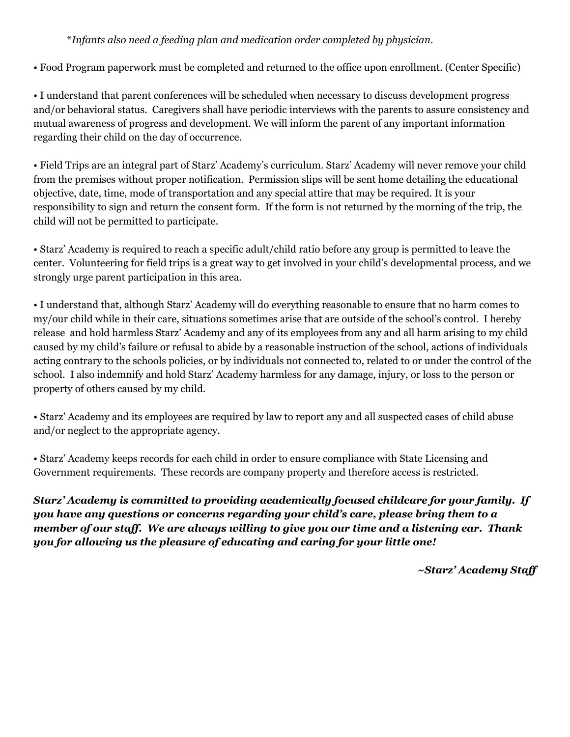#### \**Infants also need a feeding plan and medication order completed by physician.*

• Food Program paperwork must be completed and returned to the office upon enrollment. (Center Specific)

• I understand that parent conferences will be scheduled when necessary to discuss development progress and/or behavioral status. Caregivers shall have periodic interviews with the parents to assure consistency and mutual awareness of progress and development. We will inform the parent of any important information regarding their child on the day of occurrence.

• Field Trips are an integral part of Starz' Academy's curriculum. Starz' Academy will never remove your child from the premises without proper notification. Permission slips will be sent home detailing the educational objective, date, time, mode of transportation and any special attire that may be required. It is your responsibility to sign and return the consent form. If the form is not returned by the morning of the trip, the child will not be permitted to participate.

• Starz' Academy is required to reach a specific adult/child ratio before any group is permitted to leave the center. Volunteering for field trips is a great way to get involved in your child's developmental process, and we strongly urge parent participation in this area.

• I understand that, although Starz' Academy will do everything reasonable to ensure that no harm comes to my/our child while in their care, situations sometimes arise that are outside of the school's control. I hereby release and hold harmless Starz' Academy and any of its employees from any and all harm arising to my child caused by my child's failure or refusal to abide by a reasonable instruction of the school, actions of individuals acting contrary to the schools policies, or by individuals not connected to, related to or under the control of the school. I also indemnify and hold Starz' Academy harmless for any damage, injury, or loss to the person or property of others caused by my child.

• Starz' Academy and its employees are required by law to report any and all suspected cases of child abuse and/or neglect to the appropriate agency.

• Starz' Academy keeps records for each child in order to ensure compliance with State Licensing and Government requirements. These records are company property and therefore access is restricted.

*Starz' Academy is committed to providing academically focused childcare for your family. If you have any questions or concerns regarding your child's care, please bring them to a member of our staf . We are always willing to give you our time and a listening ear. Thank you for allowing us the pleasure of educating and caring for your little one!*

*~Starz' Academy Staf*